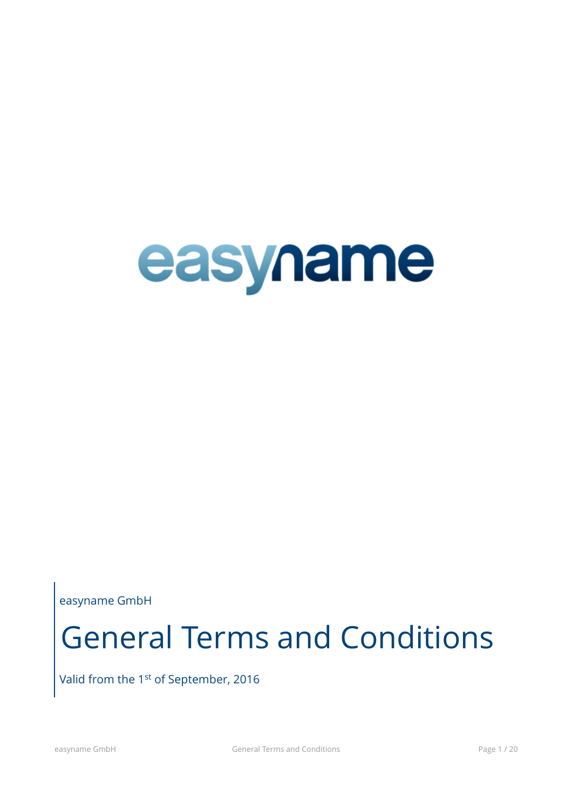

easyname GmbH

# General Terms and Conditions

Valid from the 1<sup>st</sup> of September, 2016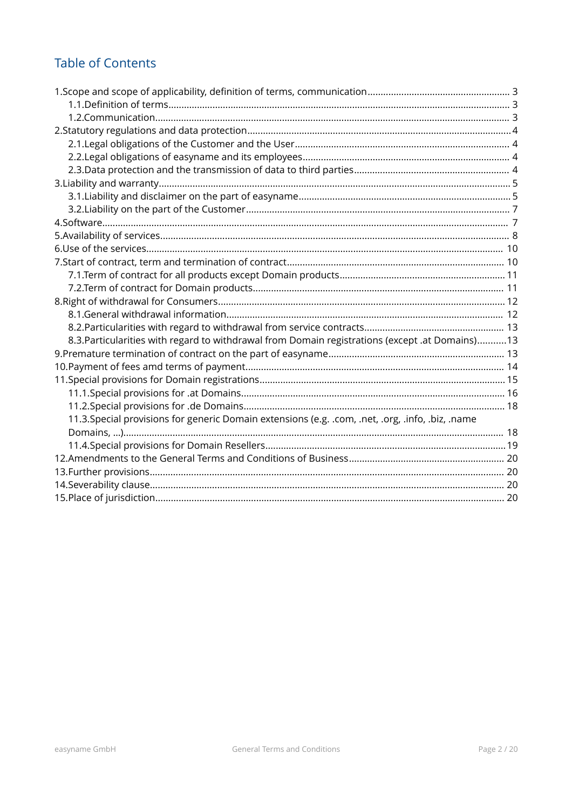# **Table of Contents**

| 8.3. Particularities with regard to withdrawal from Domain registrations (except .at Domains) 13  |  |
|---------------------------------------------------------------------------------------------------|--|
|                                                                                                   |  |
|                                                                                                   |  |
|                                                                                                   |  |
|                                                                                                   |  |
|                                                                                                   |  |
| 11.3. Special provisions for generic Domain extensions (e.g. .com, .net, .org, .info, .biz, .name |  |
|                                                                                                   |  |
|                                                                                                   |  |
|                                                                                                   |  |
|                                                                                                   |  |
|                                                                                                   |  |
|                                                                                                   |  |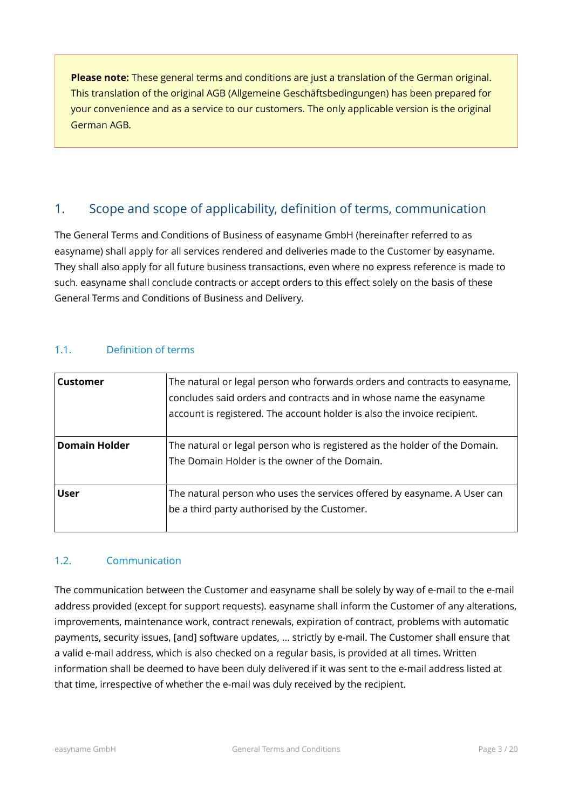**Please note:** These general terms and conditions are just a translation of the German original. This translation of the original AGB (Allgemeine Geschäftsbedingungen) has been prepared for your convenience and as a service to our customers. The only applicable version is the original German AGB.

# <span id="page-2-2"></span>1. Scope and scope of applicability, definition of terms, communication

The General Terms and Conditions of Business of easyname GmbH (hereinafter referred to as easyname) shall apply for all services rendered and deliveries made to the Customer by easyname. They shall also apply for all future business transactions, even where no express reference is made to such. easyname shall conclude contracts or accept orders to this effect solely on the basis of these General Terms and Conditions of Business and Delivery.

## <span id="page-2-1"></span>1.1. Definition of terms

| Customer             | The natural or legal person who forwards orders and contracts to easyname,<br>concludes said orders and contracts and in whose name the easyname<br>account is registered. The account holder is also the invoice recipient. |
|----------------------|------------------------------------------------------------------------------------------------------------------------------------------------------------------------------------------------------------------------------|
| <b>Domain Holder</b> | The natural or legal person who is registered as the holder of the Domain.<br>The Domain Holder is the owner of the Domain.                                                                                                  |
| <b>User</b>          | The natural person who uses the services offered by easyname. A User can<br>be a third party authorised by the Customer.                                                                                                     |

## <span id="page-2-0"></span>1.2. Communication

The communication between the Customer and easyname shall be solely by way of e-mail to the e-mail address provided (except for support requests). easyname shall inform the Customer of any alterations, improvements, maintenance work, contract renewals, expiration of contract, problems with automatic payments, security issues, [and] software updates, ... strictly by e-mail. The Customer shall ensure that a valid e-mail address, which is also checked on a regular basis, is provided at all times. Written information shall be deemed to have been duly delivered if it was sent to the e-mail address listed at that time, irrespective of whether the e-mail was duly received by the recipient.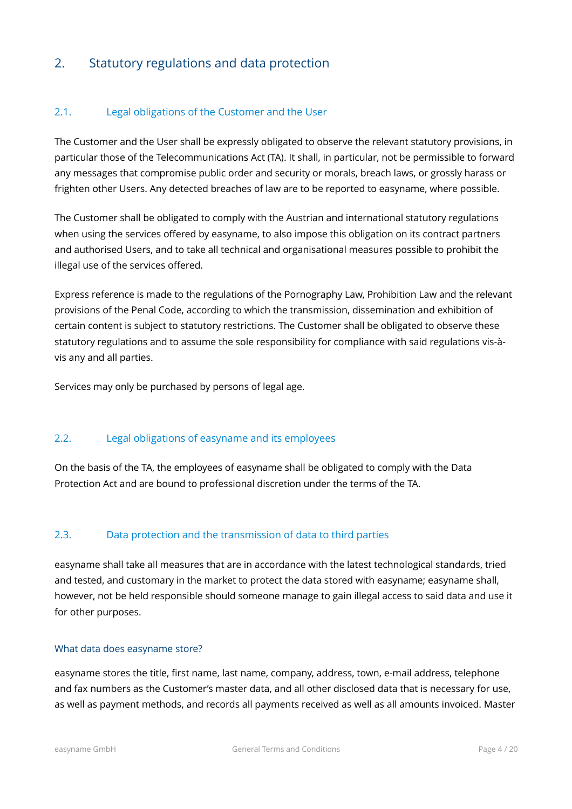# <span id="page-3-3"></span>2. Statutory regulations and data protection

## <span id="page-3-2"></span>2.1. Legal obligations of the Customer and the User

The Customer and the User shall be expressly obligated to observe the relevant statutory provisions, in particular those of the Telecommunications Act (TA). It shall, in particular, not be permissible to forward any messages that compromise public order and security or morals, breach laws, or grossly harass or frighten other Users. Any detected breaches of law are to be reported to easyname, where possible.

The Customer shall be obligated to comply with the Austrian and international statutory regulations when using the services offered by easyname, to also impose this obligation on its contract partners and authorised Users, and to take all technical and organisational measures possible to prohibit the illegal use of the services offered.

Express reference is made to the regulations of the Pornography Law, Prohibition Law and the relevant provisions of the Penal Code, according to which the transmission, dissemination and exhibition of certain content is subject to statutory restrictions. The Customer shall be obligated to observe these statutory regulations and to assume the sole responsibility for compliance with said regulations vis-àvis any and all parties.

Services may only be purchased by persons of legal age.

#### <span id="page-3-1"></span>2.2. Legal obligations of easyname and its employees

On the basis of the TA, the employees of easyname shall be obligated to comply with the Data Protection Act and are bound to professional discretion under the terms of the TA.

## <span id="page-3-0"></span>2.3. Data protection and the transmission of data to third parties

easyname shall take all measures that are in accordance with the latest technological standards, tried and tested, and customary in the market to protect the data stored with easyname; easyname shall, however, not be held responsible should someone manage to gain illegal access to said data and use it for other purposes.

#### What data does easyname store?

easyname stores the title, first name, last name, company, address, town, e-mail address, telephone and fax numbers as the Customer's master data, and all other disclosed data that is necessary for use, as well as payment methods, and records all payments received as well as all amounts invoiced. Master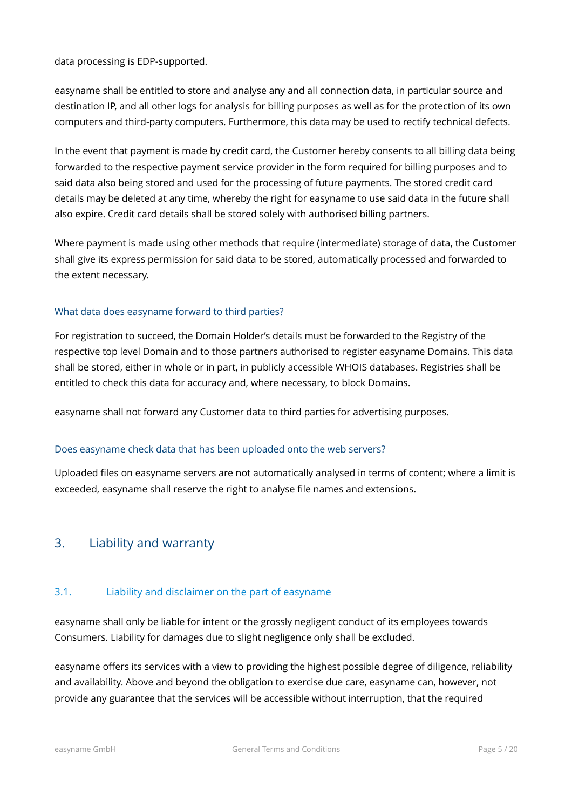data processing is EDP-supported.

easyname shall be entitled to store and analyse any and all connection data, in particular source and destination IP, and all other logs for analysis for billing purposes as well as for the protection of its own computers and third-party computers. Furthermore, this data may be used to rectify technical defects.

In the event that payment is made by credit card, the Customer hereby consents to all billing data being forwarded to the respective payment service provider in the form required for billing purposes and to said data also being stored and used for the processing of future payments. The stored credit card details may be deleted at any time, whereby the right for easyname to use said data in the future shall also expire. Credit card details shall be stored solely with authorised billing partners.

Where payment is made using other methods that require (intermediate) storage of data, the Customer shall give its express permission for said data to be stored, automatically processed and forwarded to the extent necessary.

## What data does easyname forward to third parties?

For registration to succeed, the Domain Holder's details must be forwarded to the Registry of the respective top level Domain and to those partners authorised to register easyname Domains. This data shall be stored, either in whole or in part, in publicly accessible WHOIS databases. Registries shall be entitled to check this data for accuracy and, where necessary, to block Domains.

easyname shall not forward any Customer data to third parties for advertising purposes.

#### Does easyname check data that has been uploaded onto the web servers?

Uploaded files on easyname servers are not automatically analysed in terms of content; where a limit is exceeded, easyname shall reserve the right to analyse file names and extensions.

## <span id="page-4-1"></span>3. Liability and warranty

## <span id="page-4-0"></span>3.1. Liability and disclaimer on the part of easyname

easyname shall only be liable for intent or the grossly negligent conduct of its employees towards Consumers. Liability for damages due to slight negligence only shall be excluded.

easyname offers its services with a view to providing the highest possible degree of diligence, reliability and availability. Above and beyond the obligation to exercise due care, easyname can, however, not provide any guarantee that the services will be accessible without interruption, that the required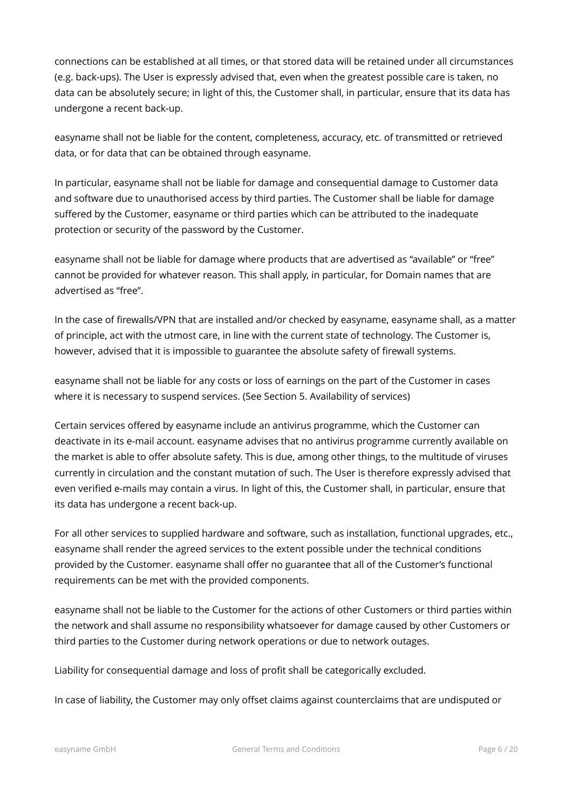connections can be established at all times, or that stored data will be retained under all circumstances (e.g. back-ups). The User is expressly advised that, even when the greatest possible care is taken, no data can be absolutely secure; in light of this, the Customer shall, in particular, ensure that its data has undergone a recent back-up.

easyname shall not be liable for the content, completeness, accuracy, etc. of transmitted or retrieved data, or for data that can be obtained through easyname.

In particular, easyname shall not be liable for damage and consequential damage to Customer data and software due to unauthorised access by third parties. The Customer shall be liable for damage suffered by the Customer, easyname or third parties which can be attributed to the inadequate protection or security of the password by the Customer.

easyname shall not be liable for damage where products that are advertised as "available" or "free" cannot be provided for whatever reason. This shall apply, in particular, for Domain names that are advertised as "free".

In the case of firewalls/VPN that are installed and/or checked by easyname, easyname shall, as a matter of principle, act with the utmost care, in line with the current state of technology. The Customer is, however, advised that it is impossible to guarantee the absolute safety of firewall systems.

easyname shall not be liable for any costs or loss of earnings on the part of the Customer in cases where it is necessary to suspend services. (See Section 5. Availability of services)

Certain services offered by easyname include an antivirus programme, which the Customer can deactivate in its e-mail account. easyname advises that no antivirus programme currently available on the market is able to offer absolute safety. This is due, among other things, to the multitude of viruses currently in circulation and the constant mutation of such. The User is therefore expressly advised that even verified e-mails may contain a virus. In light of this, the Customer shall, in particular, ensure that its data has undergone a recent back-up.

For all other services to supplied hardware and software, such as installation, functional upgrades, etc., easyname shall render the agreed services to the extent possible under the technical conditions provided by the Customer. easyname shall offer no guarantee that all of the Customer's functional requirements can be met with the provided components.

easyname shall not be liable to the Customer for the actions of other Customers or third parties within the network and shall assume no responsibility whatsoever for damage caused by other Customers or third parties to the Customer during network operations or due to network outages.

Liability for consequential damage and loss of profit shall be categorically excluded.

In case of liability, the Customer may only offset claims against counterclaims that are undisputed or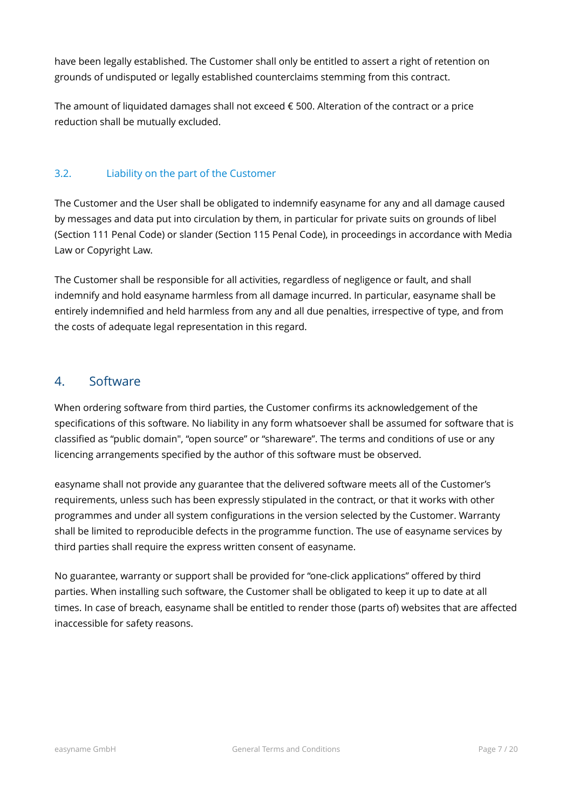have been legally established. The Customer shall only be entitled to assert a right of retention on grounds of undisputed or legally established counterclaims stemming from this contract.

The amount of liquidated damages shall not exceed  $\epsilon$  500. Alteration of the contract or a price reduction shall be mutually excluded.

## <span id="page-6-1"></span>3.2. Liability on the part of the Customer

The Customer and the User shall be obligated to indemnify easyname for any and all damage caused by messages and data put into circulation by them, in particular for private suits on grounds of libel (Section 111 Penal Code) or slander (Section 115 Penal Code), in proceedings in accordance with Media Law or Copyright Law.

The Customer shall be responsible for all activities, regardless of negligence or fault, and shall indemnify and hold easyname harmless from all damage incurred. In particular, easyname shall be entirely indemnified and held harmless from any and all due penalties, irrespective of type, and from the costs of adequate legal representation in this regard.

# <span id="page-6-0"></span>4. Software

When ordering software from third parties, the Customer confirms its acknowledgement of the specifications of this software. No liability in any form whatsoever shall be assumed for software that is classified as "public domain", "open source" or "shareware". The terms and conditions of use or any licencing arrangements specified by the author of this software must be observed.

easyname shall not provide any guarantee that the delivered software meets all of the Customer's requirements, unless such has been expressly stipulated in the contract, or that it works with other programmes and under all system configurations in the version selected by the Customer. Warranty shall be limited to reproducible defects in the programme function. The use of easyname services by third parties shall require the express written consent of easyname.

No guarantee, warranty or support shall be provided for "one-click applications" offered by third parties. When installing such software, the Customer shall be obligated to keep it up to date at all times. In case of breach, easyname shall be entitled to render those (parts of) websites that are affected inaccessible for safety reasons.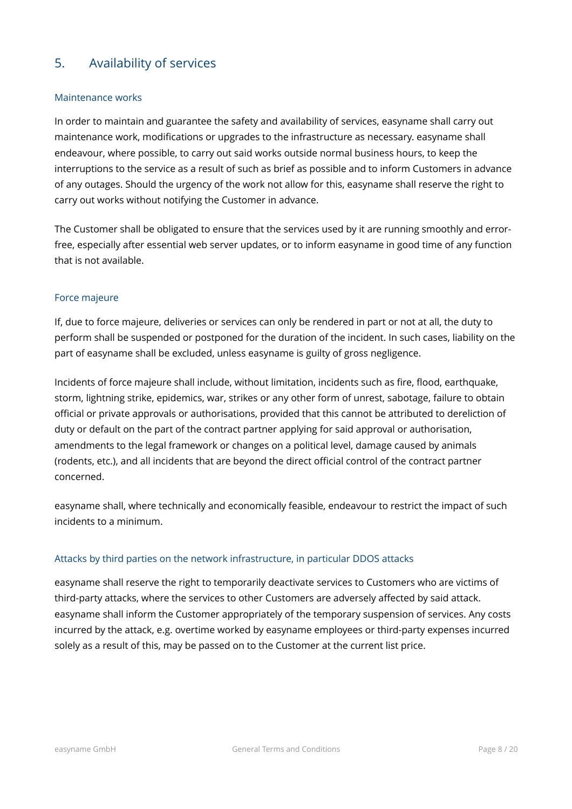# <span id="page-7-0"></span>5. Availability of services

#### Maintenance works

In order to maintain and guarantee the safety and availability of services, easyname shall carry out maintenance work, modifications or upgrades to the infrastructure as necessary. easyname shall endeavour, where possible, to carry out said works outside normal business hours, to keep the interruptions to the service as a result of such as brief as possible and to inform Customers in advance of any outages. Should the urgency of the work not allow for this, easyname shall reserve the right to carry out works without notifying the Customer in advance.

The Customer shall be obligated to ensure that the services used by it are running smoothly and errorfree, especially after essential web server updates, or to inform easyname in good time of any function that is not available.

#### Force majeure

If, due to force majeure, deliveries or services can only be rendered in part or not at all, the duty to perform shall be suspended or postponed for the duration of the incident. In such cases, liability on the part of easyname shall be excluded, unless easyname is guilty of gross negligence.

Incidents of force majeure shall include, without limitation, incidents such as fire, flood, earthquake, storm, lightning strike, epidemics, war, strikes or any other form of unrest, sabotage, failure to obtain official or private approvals or authorisations, provided that this cannot be attributed to dereliction of duty or default on the part of the contract partner applying for said approval or authorisation, amendments to the legal framework or changes on a political level, damage caused by animals (rodents, etc.), and all incidents that are beyond the direct official control of the contract partner concerned.

easyname shall, where technically and economically feasible, endeavour to restrict the impact of such incidents to a minimum.

## Attacks by third parties on the network infrastructure, in particular DDOS attacks

easyname shall reserve the right to temporarily deactivate services to Customers who are victims of third-party attacks, where the services to other Customers are adversely affected by said attack. easyname shall inform the Customer appropriately of the temporary suspension of services. Any costs incurred by the attack, e.g. overtime worked by easyname employees or third-party expenses incurred solely as a result of this, may be passed on to the Customer at the current list price.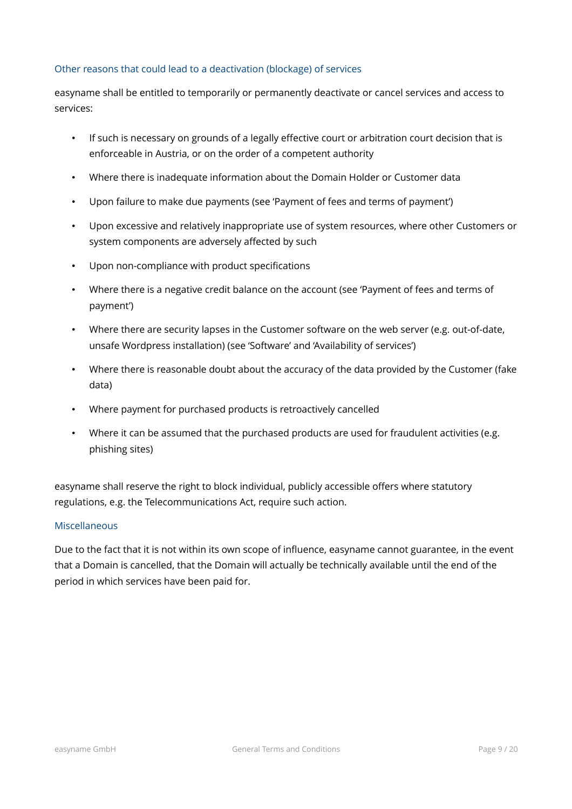#### Other reasons that could lead to a deactivation (blockage) of services

easyname shall be entitled to temporarily or permanently deactivate or cancel services and access to services:

- If such is necessary on grounds of a legally effective court or arbitration court decision that is enforceable in Austria, or on the order of a competent authority
- Where there is inadequate information about the Domain Holder or Customer data
- Upon failure to make due payments (see 'Payment of fees and terms of payment')
- Upon excessive and relatively inappropriate use of system resources, where other Customers or system components are adversely affected by such
- Upon non-compliance with product specifications
- Where there is a negative credit balance on the account (see 'Payment of fees and terms of payment')
- Where there are security lapses in the Customer software on the web server (e.g. out-of-date, unsafe Wordpress installation) (see 'Software' and 'Availability of services')
- Where there is reasonable doubt about the accuracy of the data provided by the Customer (fake data)
- Where payment for purchased products is retroactively cancelled
- Where it can be assumed that the purchased products are used for fraudulent activities (e.g. phishing sites)

easyname shall reserve the right to block individual, publicly accessible offers where statutory regulations, e.g. the Telecommunications Act, require such action.

#### Miscellaneous

Due to the fact that it is not within its own scope of influence, easyname cannot guarantee, in the event that a Domain is cancelled, that the Domain will actually be technically available until the end of the period in which services have been paid for.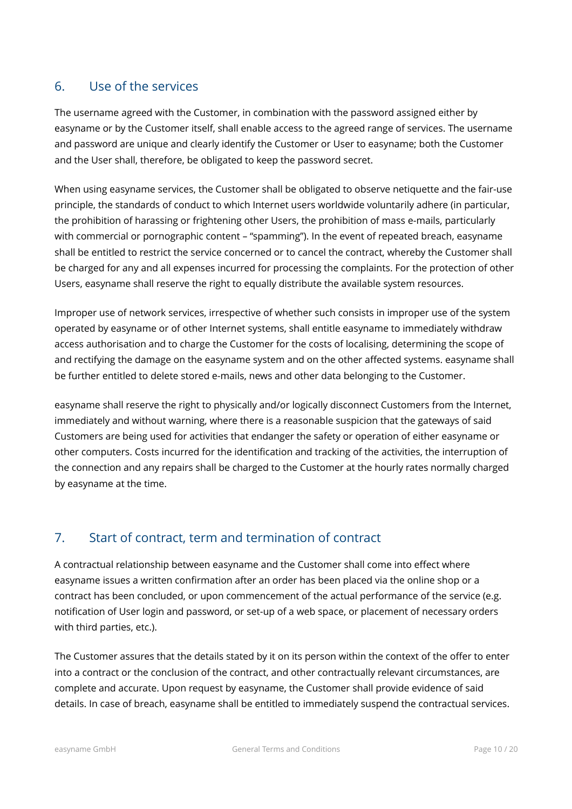## <span id="page-9-1"></span>6. Use of the services

The username agreed with the Customer, in combination with the password assigned either by easyname or by the Customer itself, shall enable access to the agreed range of services. The username and password are unique and clearly identify the Customer or User to easyname; both the Customer and the User shall, therefore, be obligated to keep the password secret.

When using easyname services, the Customer shall be obligated to observe netiquette and the fair-use principle, the standards of conduct to which Internet users worldwide voluntarily adhere (in particular, the prohibition of harassing or frightening other Users, the prohibition of mass e-mails, particularly with commercial or pornographic content – "spamming"). In the event of repeated breach, easyname shall be entitled to restrict the service concerned or to cancel the contract, whereby the Customer shall be charged for any and all expenses incurred for processing the complaints. For the protection of other Users, easyname shall reserve the right to equally distribute the available system resources.

Improper use of network services, irrespective of whether such consists in improper use of the system operated by easyname or of other Internet systems, shall entitle easyname to immediately withdraw access authorisation and to charge the Customer for the costs of localising, determining the scope of and rectifying the damage on the easyname system and on the other affected systems. easyname shall be further entitled to delete stored e-mails, news and other data belonging to the Customer.

easyname shall reserve the right to physically and/or logically disconnect Customers from the Internet, immediately and without warning, where there is a reasonable suspicion that the gateways of said Customers are being used for activities that endanger the safety or operation of either easyname or other computers. Costs incurred for the identification and tracking of the activities, the interruption of the connection and any repairs shall be charged to the Customer at the hourly rates normally charged by easyname at the time.

# <span id="page-9-0"></span>7. Start of contract, term and termination of contract

A contractual relationship between easyname and the Customer shall come into effect where easyname issues a written confirmation after an order has been placed via the online shop or a contract has been concluded, or upon commencement of the actual performance of the service (e.g. notification of User login and password, or set-up of a web space, or placement of necessary orders with third parties, etc.).

The Customer assures that the details stated by it on its person within the context of the offer to enter into a contract or the conclusion of the contract, and other contractually relevant circumstances, are complete and accurate. Upon request by easyname, the Customer shall provide evidence of said details. In case of breach, easyname shall be entitled to immediately suspend the contractual services.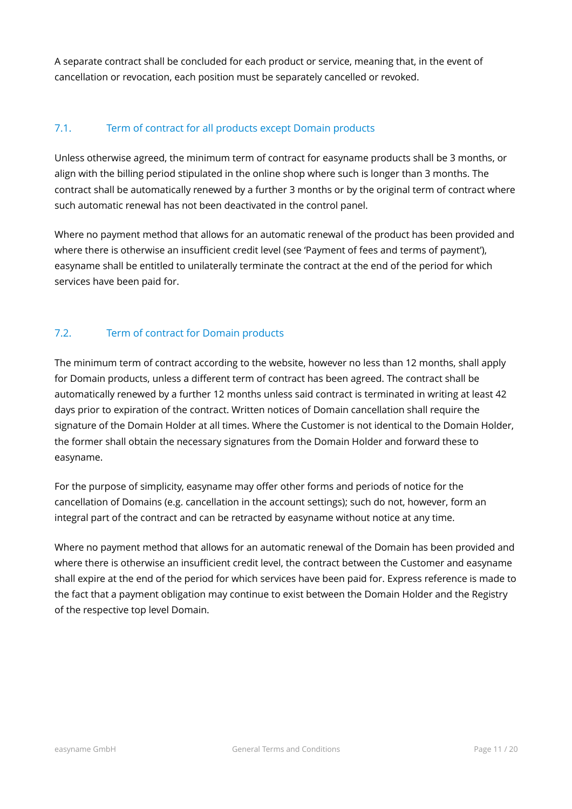A separate contract shall be concluded for each product or service, meaning that, in the event of cancellation or revocation, each position must be separately cancelled or revoked.

## <span id="page-10-1"></span>7.1. Term of contract for all products except Domain products

Unless otherwise agreed, the minimum term of contract for easyname products shall be 3 months, or align with the billing period stipulated in the online shop where such is longer than 3 months. The contract shall be automatically renewed by a further 3 months or by the original term of contract where such automatic renewal has not been deactivated in the control panel.

Where no payment method that allows for an automatic renewal of the product has been provided and where there is otherwise an insufficient credit level (see 'Payment of fees and terms of payment'), easyname shall be entitled to unilaterally terminate the contract at the end of the period for which services have been paid for.

## <span id="page-10-0"></span>7.2. Term of contract for Domain products

The minimum term of contract according to the website, however no less than 12 months, shall apply for Domain products, unless a different term of contract has been agreed. The contract shall be automatically renewed by a further 12 months unless said contract is terminated in writing at least 42 days prior to expiration of the contract. Written notices of Domain cancellation shall require the signature of the Domain Holder at all times. Where the Customer is not identical to the Domain Holder, the former shall obtain the necessary signatures from the Domain Holder and forward these to easyname.

For the purpose of simplicity, easyname may offer other forms and periods of notice for the cancellation of Domains (e.g. cancellation in the account settings); such do not, however, form an integral part of the contract and can be retracted by easyname without notice at any time.

Where no payment method that allows for an automatic renewal of the Domain has been provided and where there is otherwise an insufficient credit level, the contract between the Customer and easyname shall expire at the end of the period for which services have been paid for. Express reference is made to the fact that a payment obligation may continue to exist between the Domain Holder and the Registry of the respective top level Domain.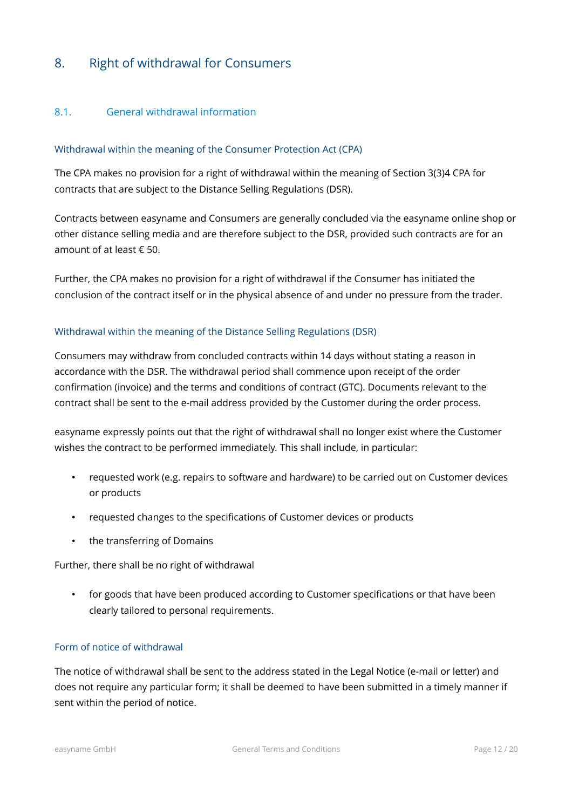# <span id="page-11-1"></span>8. Right of withdrawal for Consumers

## <span id="page-11-0"></span>8.1. General withdrawal information

#### Withdrawal within the meaning of the Consumer Protection Act (CPA)

The CPA makes no provision for a right of withdrawal within the meaning of Section 3(3)4 CPA for contracts that are subject to the Distance Selling Regulations (DSR).

Contracts between easyname and Consumers are generally concluded via the easyname online shop or other distance selling media and are therefore subject to the DSR, provided such contracts are for an amount of at least € 50.

Further, the CPA makes no provision for a right of withdrawal if the Consumer has initiated the conclusion of the contract itself or in the physical absence of and under no pressure from the trader.

#### Withdrawal within the meaning of the Distance Selling Regulations (DSR)

Consumers may withdraw from concluded contracts within 14 days without stating a reason in accordance with the DSR. The withdrawal period shall commence upon receipt of the order confirmation (invoice) and the terms and conditions of contract (GTC). Documents relevant to the contract shall be sent to the e-mail address provided by the Customer during the order process.

easyname expressly points out that the right of withdrawal shall no longer exist where the Customer wishes the contract to be performed immediately. This shall include, in particular:

- requested work (e.g. repairs to software and hardware) to be carried out on Customer devices or products
- requested changes to the specifications of Customer devices or products
- the transferring of Domains

Further, there shall be no right of withdrawal

• for goods that have been produced according to Customer specifications or that have been clearly tailored to personal requirements.

#### Form of notice of withdrawal

The notice of withdrawal shall be sent to the address stated in the Legal Notice (e-mail or letter) and does not require any particular form; it shall be deemed to have been submitted in a timely manner if sent within the period of notice.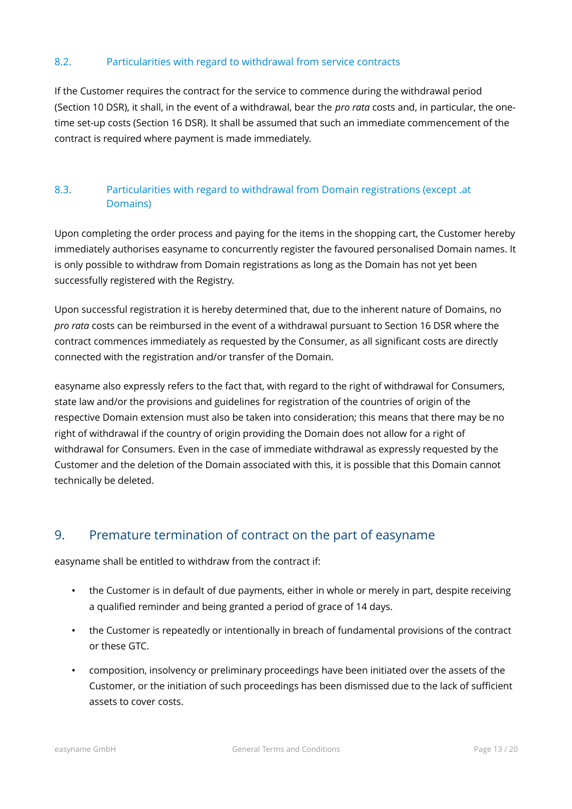## <span id="page-12-2"></span>8.2. Particularities with regard to withdrawal from service contracts

If the Customer requires the contract for the service to commence during the withdrawal period (Section 10 DSR), it shall, in the event of a withdrawal, bear the *pro rata* costs and, in particular, the onetime set-up costs (Section 16 DSR). It shall be assumed that such an immediate commencement of the contract is required where payment is made immediately.

## <span id="page-12-1"></span>8.3. Particularities with regard to withdrawal from Domain registrations (except .at Domains)

Upon completing the order process and paying for the items in the shopping cart, the Customer hereby immediately authorises easyname to concurrently register the favoured personalised Domain names. It is only possible to withdraw from Domain registrations as long as the Domain has not yet been successfully registered with the Registry.

Upon successful registration it is hereby determined that, due to the inherent nature of Domains, no *pro rata* costs can be reimbursed in the event of a withdrawal pursuant to Section 16 DSR where the contract commences immediately as requested by the Consumer, as all significant costs are directly connected with the registration and/or transfer of the Domain.

easyname also expressly refers to the fact that, with regard to the right of withdrawal for Consumers, state law and/or the provisions and guidelines for registration of the countries of origin of the respective Domain extension must also be taken into consideration; this means that there may be no right of withdrawal if the country of origin providing the Domain does not allow for a right of withdrawal for Consumers. Even in the case of immediate withdrawal as expressly requested by the Customer and the deletion of the Domain associated with this, it is possible that this Domain cannot technically be deleted.

# <span id="page-12-0"></span>9. Premature termination of contract on the part of easyname

easyname shall be entitled to withdraw from the contract if:

- the Customer is in default of due payments, either in whole or merely in part, despite receiving a qualified reminder and being granted a period of grace of 14 days.
- the Customer is repeatedly or intentionally in breach of fundamental provisions of the contract or these GTC.
- composition, insolvency or preliminary proceedings have been initiated over the assets of the Customer, or the initiation of such proceedings has been dismissed due to the lack of sufficient assets to cover costs.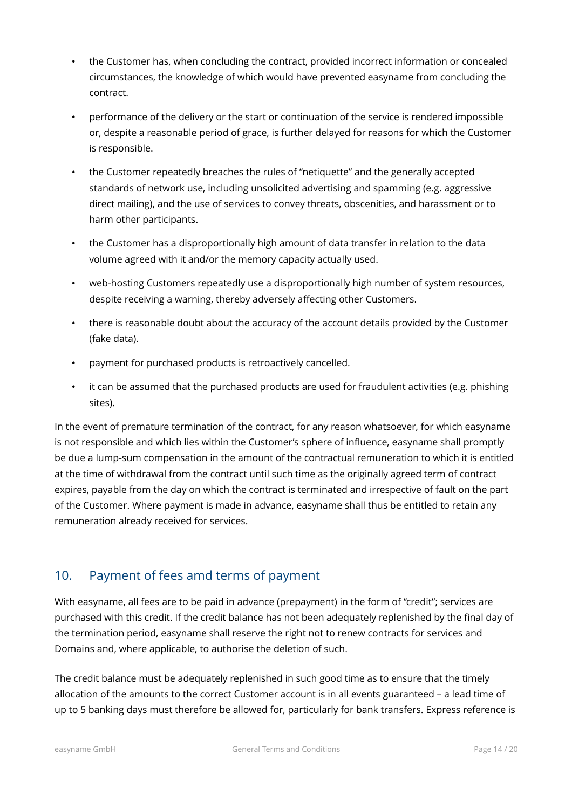- the Customer has, when concluding the contract, provided incorrect information or concealed circumstances, the knowledge of which would have prevented easyname from concluding the contract.
- performance of the delivery or the start or continuation of the service is rendered impossible or, despite a reasonable period of grace, is further delayed for reasons for which the Customer is responsible.
- the Customer repeatedly breaches the rules of "netiquette" and the generally accepted standards of network use, including unsolicited advertising and spamming (e.g. aggressive direct mailing), and the use of services to convey threats, obscenities, and harassment or to harm other participants.
- the Customer has a disproportionally high amount of data transfer in relation to the data volume agreed with it and/or the memory capacity actually used.
- web-hosting Customers repeatedly use a disproportionally high number of system resources, despite receiving a warning, thereby adversely affecting other Customers.
- there is reasonable doubt about the accuracy of the account details provided by the Customer (fake data).
- payment for purchased products is retroactively cancelled.
- it can be assumed that the purchased products are used for fraudulent activities (e.g. phishing sites).

In the event of premature termination of the contract, for any reason whatsoever, for which easyname is not responsible and which lies within the Customer's sphere of influence, easyname shall promptly be due a lump-sum compensation in the amount of the contractual remuneration to which it is entitled at the time of withdrawal from the contract until such time as the originally agreed term of contract expires, payable from the day on which the contract is terminated and irrespective of fault on the part of the Customer. Where payment is made in advance, easyname shall thus be entitled to retain any remuneration already received for services.

# <span id="page-13-0"></span>10. Payment of fees amd terms of payment

With easyname, all fees are to be paid in advance (prepayment) in the form of "credit"; services are purchased with this credit. If the credit balance has not been adequately replenished by the final day of the termination period, easyname shall reserve the right not to renew contracts for services and Domains and, where applicable, to authorise the deletion of such.

The credit balance must be adequately replenished in such good time as to ensure that the timely allocation of the amounts to the correct Customer account is in all events guaranteed – a lead time of up to 5 banking days must therefore be allowed for, particularly for bank transfers. Express reference is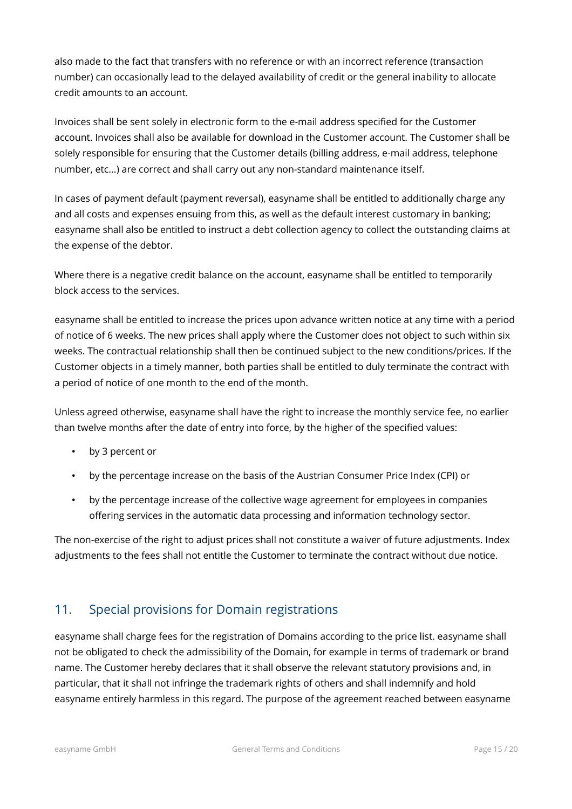also made to the fact that transfers with no reference or with an incorrect reference (transaction number) can occasionally lead to the delayed availability of credit or the general inability to allocate credit amounts to an account.

Invoices shall be sent solely in electronic form to the e-mail address specified for the Customer account. Invoices shall also be available for download in the Customer account. The Customer shall be solely responsible for ensuring that the Customer details (billing address, e-mail address, telephone number, etc...) are correct and shall carry out any non-standard maintenance itself.

In cases of payment default (payment reversal), easyname shall be entitled to additionally charge any and all costs and expenses ensuing from this, as well as the default interest customary in banking; easyname shall also be entitled to instruct a debt collection agency to collect the outstanding claims at the expense of the debtor.

Where there is a negative credit balance on the account, easyname shall be entitled to temporarily block access to the services.

easyname shall be entitled to increase the prices upon advance written notice at any time with a period of notice of 6 weeks. The new prices shall apply where the Customer does not object to such within six weeks. The contractual relationship shall then be continued subject to the new conditions/prices. If the Customer objects in a timely manner, both parties shall be entitled to duly terminate the contract with a period of notice of one month to the end of the month.

Unless agreed otherwise, easyname shall have the right to increase the monthly service fee, no earlier than twelve months after the date of entry into force, by the higher of the specified values:

- by 3 percent or
- by the percentage increase on the basis of the Austrian Consumer Price Index (CPI) or
- by the percentage increase of the collective wage agreement for employees in companies offering services in the automatic data processing and information technology sector.

The non-exercise of the right to adjust prices shall not constitute a waiver of future adjustments. Index adjustments to the fees shall not entitle the Customer to terminate the contract without due notice.

# <span id="page-14-0"></span>11. Special provisions for Domain registrations

easyname shall charge fees for the registration of Domains according to the price list. easyname shall not be obligated to check the admissibility of the Domain, for example in terms of trademark or brand name. The Customer hereby declares that it shall observe the relevant statutory provisions and, in particular, that it shall not infringe the trademark rights of others and shall indemnify and hold easyname entirely harmless in this regard. The purpose of the agreement reached between easyname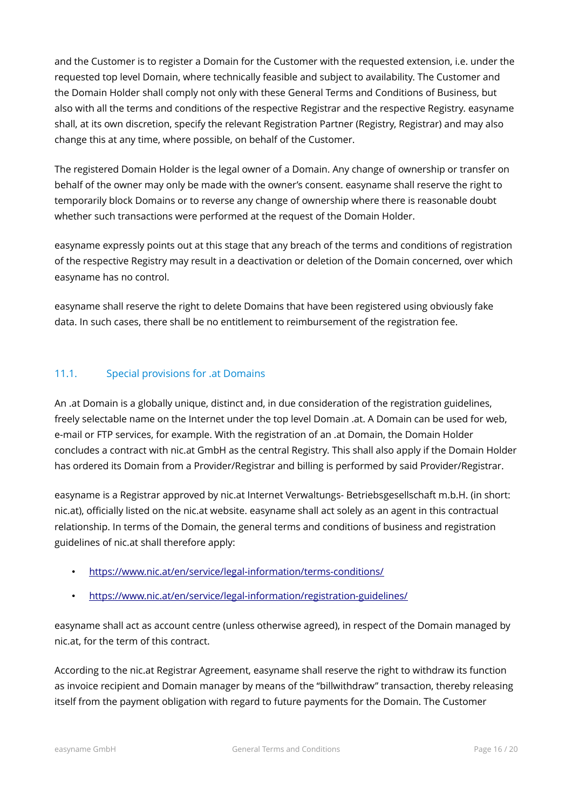and the Customer is to register a Domain for the Customer with the requested extension, i.e. under the requested top level Domain, where technically feasible and subject to availability. The Customer and the Domain Holder shall comply not only with these General Terms and Conditions of Business, but also with all the terms and conditions of the respective Registrar and the respective Registry. easyname shall, at its own discretion, specify the relevant Registration Partner (Registry, Registrar) and may also change this at any time, where possible, on behalf of the Customer.

The registered Domain Holder is the legal owner of a Domain. Any change of ownership or transfer on behalf of the owner may only be made with the owner's consent. easyname shall reserve the right to temporarily block Domains or to reverse any change of ownership where there is reasonable doubt whether such transactions were performed at the request of the Domain Holder.

easyname expressly points out at this stage that any breach of the terms and conditions of registration of the respective Registry may result in a deactivation or deletion of the Domain concerned, over which easyname has no control.

easyname shall reserve the right to delete Domains that have been registered using obviously fake data. In such cases, there shall be no entitlement to reimbursement of the registration fee.

## <span id="page-15-0"></span>11.1. Special provisions for .at Domains

An .at Domain is a globally unique, distinct and, in due consideration of the registration guidelines, freely selectable name on the Internet under the top level Domain .at. A Domain can be used for web, e-mail or FTP services, for example. With the registration of an .at Domain, the Domain Holder concludes a contract with nic.at GmbH as the central Registry. This shall also apply if the Domain Holder has ordered its Domain from a Provider/Registrar and billing is performed by said Provider/Registrar.

easyname is a Registrar approved by nic.at Internet Verwaltungs- Betriebsgesellschaft m.b.H. (in short: nic.at), officially listed on the nic.at website. easyname shall act solely as an agent in this contractual relationship. In terms of the Domain, the general terms and conditions of business and registration guidelines of nic.at shall therefore apply:

- <https://www.nic.at/en/service/legal-information/terms-conditions/>
- <https://www.nic.at/en/service/legal-information/registration-guidelines/>

easyname shall act as account centre (unless otherwise agreed), in respect of the Domain managed by nic.at, for the term of this contract.

According to the nic.at Registrar Agreement, easyname shall reserve the right to withdraw its function as invoice recipient and Domain manager by means of the "billwithdraw" transaction, thereby releasing itself from the payment obligation with regard to future payments for the Domain. The Customer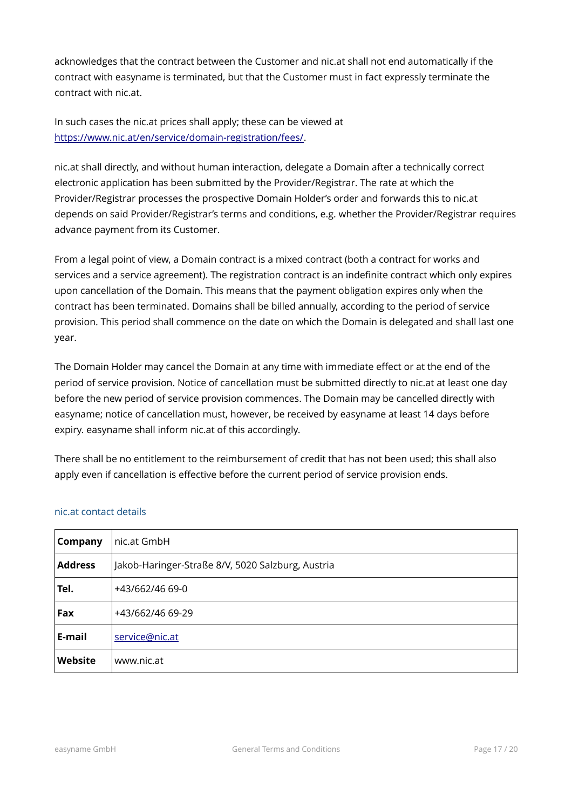acknowledges that the contract between the Customer and nic.at shall not end automatically if the contract with easyname is terminated, but that the Customer must in fact expressly terminate the contract with nic.at.

In such cases the nic.at prices shall apply; these can be viewed at [https://www.nic.at/en/service/domain-registration/fees/.](https://www.nic.at/en/service/domain-registration/fees/)

nic.at shall directly, and without human interaction, delegate a Domain after a technically correct electronic application has been submitted by the Provider/Registrar. The rate at which the Provider/Registrar processes the prospective Domain Holder's order and forwards this to nic.at depends on said Provider/Registrar's terms and conditions, e.g. whether the Provider/Registrar requires advance payment from its Customer.

From a legal point of view, a Domain contract is a mixed contract (both a contract for works and services and a service agreement). The registration contract is an indefinite contract which only expires upon cancellation of the Domain. This means that the payment obligation expires only when the contract has been terminated. Domains shall be billed annually, according to the period of service provision. This period shall commence on the date on which the Domain is delegated and shall last one year.

The Domain Holder may cancel the Domain at any time with immediate effect or at the end of the period of service provision. Notice of cancellation must be submitted directly to nic.at at least one day before the new period of service provision commences. The Domain may be cancelled directly with easyname; notice of cancellation must, however, be received by easyname at least 14 days before expiry. easyname shall inform nic.at of this accordingly.

There shall be no entitlement to the reimbursement of credit that has not been used; this shall also apply even if cancellation is effective before the current period of service provision ends.

| Company        | nic.at GmbH                                       |  |
|----------------|---------------------------------------------------|--|
| <b>Address</b> | Jakob-Haringer-Straße 8/V, 5020 Salzburg, Austria |  |
| Tel.           | +43/662/46 69-0                                   |  |
| Fax            | +43/662/46 69-29                                  |  |
| E-mail         | service@nic.at                                    |  |
| Website        | www.nic.at                                        |  |

## nic.at contact details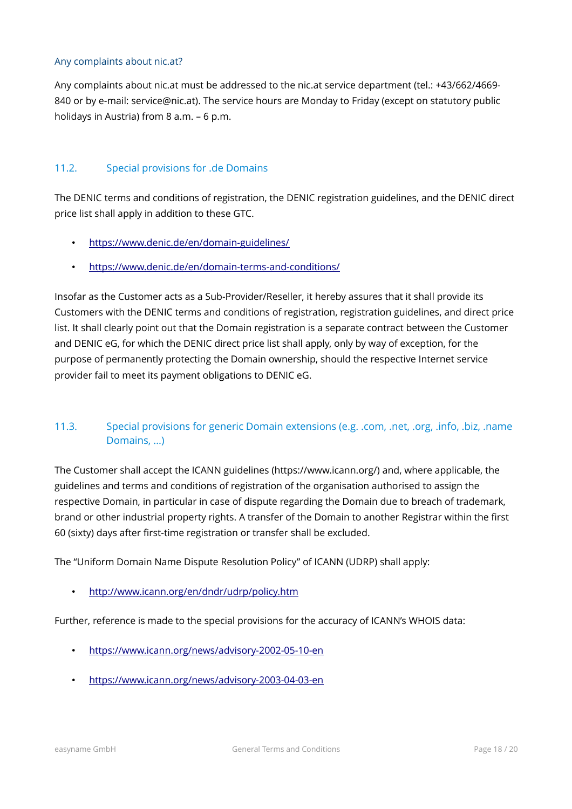#### Any complaints about nic.at?

Any complaints about nic.at must be addressed to the nic.at service department (tel.: +43/662/4669- 840 or by e-mail: service@nic.at). The service hours are Monday to Friday (except on statutory public holidays in Austria) from 8 a.m. – 6 p.m.

#### <span id="page-17-1"></span>11.2. Special provisions for .de Domains

The DENIC terms and conditions of registration, the DENIC registration guidelines, and the DENIC direct price list shall apply in addition to these GTC.

- <https://www.denic.de/en/domain-guidelines/>
- <https://www.denic.de/en/domain-terms-and-conditions/>

Insofar as the Customer acts as a Sub-Provider/Reseller, it hereby assures that it shall provide its Customers with the DENIC terms and conditions of registration, registration guidelines, and direct price list. It shall clearly point out that the Domain registration is a separate contract between the Customer and DENIC eG, for which the DENIC direct price list shall apply, only by way of exception, for the purpose of permanently protecting the Domain ownership, should the respective Internet service provider fail to meet its payment obligations to DENIC eG.

## <span id="page-17-0"></span>11.3. Special provisions for generic Domain extensions (e.g. .com, .net, .org, .info, .biz, .name Domains, …)

The Customer shall accept the ICANN guidelines (https://www.icann.org/) and, where applicable, the guidelines and terms and conditions of registration of the organisation authorised to assign the respective Domain, in particular in case of dispute regarding the Domain due to breach of trademark, brand or other industrial property rights. A transfer of the Domain to another Registrar within the first 60 (sixty) days after first-time registration or transfer shall be excluded.

The "Uniform Domain Name Dispute Resolution Policy" of ICANN (UDRP) shall apply:

• <http://www.icann.org/en/dndr/udrp/policy.htm>

Further, reference is made to the special provisions for the accuracy of ICANN's WHOIS data:

- <https://www.icann.org/news/advisory-2002-05-10-en>
- <https://www.icann.org/news/advisory-2003-04-03-en>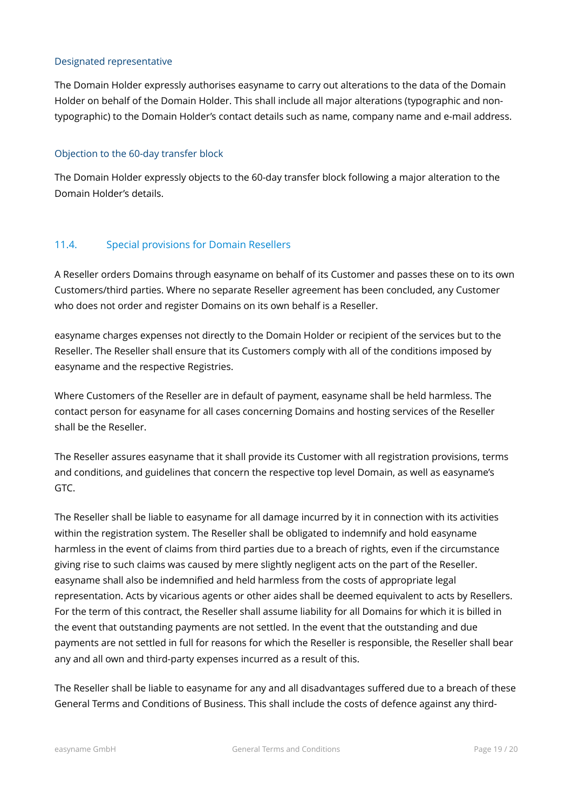#### Designated representative

The Domain Holder expressly authorises easyname to carry out alterations to the data of the Domain Holder on behalf of the Domain Holder. This shall include all major alterations (typographic and nontypographic) to the Domain Holder's contact details such as name, company name and e-mail address.

#### Objection to the 60-day transfer block

The Domain Holder expressly objects to the 60-day transfer block following a major alteration to the Domain Holder's details.

## <span id="page-18-0"></span>11.4. Special provisions for Domain Resellers

A Reseller orders Domains through easyname on behalf of its Customer and passes these on to its own Customers/third parties. Where no separate Reseller agreement has been concluded, any Customer who does not order and register Domains on its own behalf is a Reseller.

easyname charges expenses not directly to the Domain Holder or recipient of the services but to the Reseller. The Reseller shall ensure that its Customers comply with all of the conditions imposed by easyname and the respective Registries.

Where Customers of the Reseller are in default of payment, easyname shall be held harmless. The contact person for easyname for all cases concerning Domains and hosting services of the Reseller shall be the Reseller.

The Reseller assures easyname that it shall provide its Customer with all registration provisions, terms and conditions, and guidelines that concern the respective top level Domain, as well as easyname's GTC.

The Reseller shall be liable to easyname for all damage incurred by it in connection with its activities within the registration system. The Reseller shall be obligated to indemnify and hold easyname harmless in the event of claims from third parties due to a breach of rights, even if the circumstance giving rise to such claims was caused by mere slightly negligent acts on the part of the Reseller. easyname shall also be indemnified and held harmless from the costs of appropriate legal representation. Acts by vicarious agents or other aides shall be deemed equivalent to acts by Resellers. For the term of this contract, the Reseller shall assume liability for all Domains for which it is billed in the event that outstanding payments are not settled. In the event that the outstanding and due payments are not settled in full for reasons for which the Reseller is responsible, the Reseller shall bear any and all own and third-party expenses incurred as a result of this.

The Reseller shall be liable to easyname for any and all disadvantages suffered due to a breach of these General Terms and Conditions of Business. This shall include the costs of defence against any third